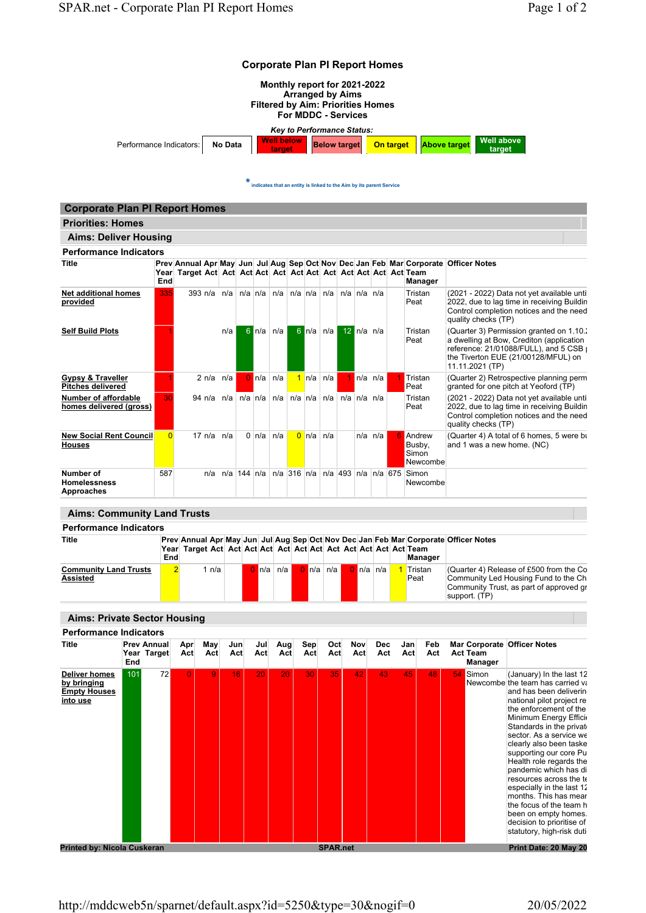

 $\bigstar$  indicates that an entity is linked to the Aim by its parent Service

| <b>Priorities: Homes</b>                                 |                |            |                                                  |             |                                                               |                 |     |                  |  |                                                                             |                                                                                                                                                                                             |
|----------------------------------------------------------|----------------|------------|--------------------------------------------------|-------------|---------------------------------------------------------------|-----------------|-----|------------------|--|-----------------------------------------------------------------------------|---------------------------------------------------------------------------------------------------------------------------------------------------------------------------------------------|
| <b>Aims: Deliver Housing</b>                             |                |            |                                                  |             |                                                               |                 |     |                  |  |                                                                             |                                                                                                                                                                                             |
| <b>Performance Indicators</b>                            |                |            |                                                  |             |                                                               |                 |     |                  |  |                                                                             |                                                                                                                                                                                             |
| <b>Title</b>                                             | End            |            |                                                  |             |                                                               |                 |     |                  |  | <b>Manager</b>                                                              | Prev Annual Apr May Jun Jul Aug Sep Oct Nov Dec Jan Feb Mar Corporate Officer Notes                                                                                                         |
| <b>Net additional homes</b><br>provided                  | 335            |            |                                                  |             | 393 n/a   n/a   n/a   n/a   n/a   n/a   n/a   n/a   n/a   n/a |                 |     |                  |  | Tristan<br>Peat                                                             | (2021 - 2022) Data not yet available until<br>2022, due to lag time in receiving Buildin<br>Control completion notices and the need<br>quality checks (TP)                                  |
| <b>Self Build Plots</b>                                  |                |            | n/a                                              | $6 \ln/a$   | n/a                                                           | $6 \ln/a$       | n/a | $12 \ln/a \ln/a$ |  | Tristan<br>Peat                                                             | (Quarter 3) Permission granted on 1.10.<br>a dwelling at Bow, Crediton (application<br>reference: 21/01088/FULL), and 5 CSB $\mu$<br>the Tiverton EUE (21/00128/MFUL) on<br>11.11.2021 (TP) |
| <b>Gypsy &amp; Traveller</b><br><b>Pitches delivered</b> |                | $2 \nln a$ | n/a                                              | $0 \ln  a $ | n/a                                                           | $1$ n/a         | n/a | $n/a \nvert n/a$ |  | Tristan<br>Peat                                                             | (Quarter 2) Retrospective planning perm<br>granted for one pitch at Yeoford (TP)                                                                                                            |
| <b>Number of affordable</b><br>homes delivered (gross)   | 30             |            |                                                  |             |                                                               |                 |     |                  |  | Tristan<br>Peat                                                             | (2021 - 2022) Data not yet available until<br>2022, due to lag time in receiving Buildin<br>Control completion notices and the need<br>quality checks (TP)                                  |
| <b>New Social Rent Council</b><br><b>Houses</b>          | $\overline{0}$ |            | $17 \text{ n/a}$ $\frac{\text{n/a}}{\text{n/a}}$ |             | $0 \ln/a \ln/a$                                               | $0 \ln/a \ln/a$ |     | $n/a$ $n/a$      |  | <b>6</b> Andrew<br>Busby.<br>Simon<br>Newcombe                              | (Quarter 4) A total of 6 homes, 5 were bu<br>and 1 was a new home. (NC)                                                                                                                     |
| Number of<br><b>Homelessness</b><br>Approaches           | 587            | n/a        |                                                  |             |                                                               |                 |     |                  |  | $n/a$ 144 $n/a$ $n/a$ 316 $n/a$ $n/a$ 493 $n/a$ $n/a$ 675 Simon<br>Newcombe |                                                                                                                                                                                             |

| <b>Performance Indicators</b>            |     |     |  |                   | Prev Annual Apr May Jun Jul Aug Sep Oct Nov Dec Jan Feb Mar Corporate Officer Notes<br><b>Manager</b><br>$0 \ln/a \ln/a$<br>$0 \ln  a  \ln  a $<br>Tristan<br>(Quarter 4) Release of £500 from the Co<br>Community Led Housing Fund to the Ch<br>Peat |  |  |  |  |  |  |  |                                                          |  |
|------------------------------------------|-----|-----|--|-------------------|-------------------------------------------------------------------------------------------------------------------------------------------------------------------------------------------------------------------------------------------------------|--|--|--|--|--|--|--|----------------------------------------------------------|--|
| <b>Title</b>                             | End |     |  |                   |                                                                                                                                                                                                                                                       |  |  |  |  |  |  |  |                                                          |  |
| <b>Community Land Trusts</b><br>Assisted |     | n/a |  | $0 \ln  a $ $n/a$ |                                                                                                                                                                                                                                                       |  |  |  |  |  |  |  | Community Trust, as part of approved gr<br>support. (TP) |  |

| <b>Performance Indicators</b>                                          |            |                                   |            |            |            |            |            |            |                 |            |                   |            |            |                            |                                                                                                                                                                                                                                                                                                                                                                                                                                                                                                                                       |
|------------------------------------------------------------------------|------------|-----------------------------------|------------|------------|------------|------------|------------|------------|-----------------|------------|-------------------|------------|------------|----------------------------|---------------------------------------------------------------------------------------------------------------------------------------------------------------------------------------------------------------------------------------------------------------------------------------------------------------------------------------------------------------------------------------------------------------------------------------------------------------------------------------------------------------------------------------|
| Title                                                                  | <b>End</b> | <b>Prev Annual</b><br>Year Target | Apr<br>Act | May<br>Act | Jun<br>Act | Jul<br>Act | Aug<br>Act | Sep<br>Act | Oct<br>Act      | Nov<br>Act | <b>Dec</b><br>Act | Jan<br>Act | Feb<br>Act | <b>Act Team</b><br>Manager | Mar Corporate Officer Notes                                                                                                                                                                                                                                                                                                                                                                                                                                                                                                           |
| <b>Deliver homes</b><br>by bringing<br><b>Empty Houses</b><br>into use | 101        | 72                                |            | 9          | 16         | 20         | 20         | 30         | 35              | 42         | 43                | 45         | 48         | 54 Simon                   | (January) In the last 12<br>Newcombe the team has carried va<br>and has been deliverin<br>national pilot project re<br>the enforcement of the<br>Minimum Energy Efficio<br>Standards in the private<br>sector. As a service we<br>clearly also been taske<br>supporting our core Pu<br>Health role regards the<br>pandemic which has di<br>resources across the te<br>especially in the last 12<br>months. This has mear<br>the focus of the team h<br>been on empty homes.<br>decision to prioritise of<br>statutory, high-risk duti |
| <b>Printed by: Nicola Cuskeran</b>                                     |            |                                   |            |            |            |            |            |            | <b>SPAR.net</b> |            |                   |            |            |                            | Print Date: 20 May 20                                                                                                                                                                                                                                                                                                                                                                                                                                                                                                                 |

## Aims: Private Sector Housing